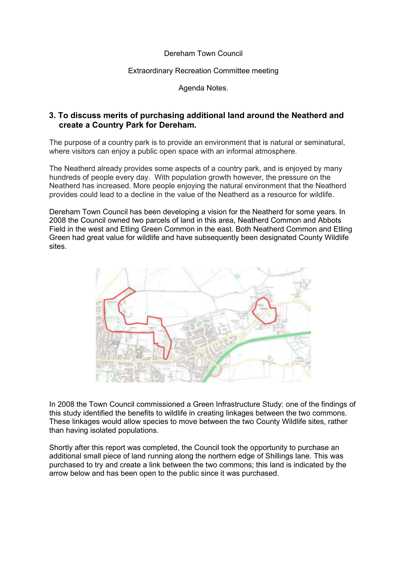### Dereham Town Council

## Extraordinary Recreation Committee meeting

Agenda Notes.

# **3. To discuss merits of purchasing additional land around the Neatherd and create a Country Park for Dereham.**

The purpose of a country park is to provide an environment that is natural or seminatural, where visitors can enjoy a public open space with an informal atmosphere.

The Neatherd already provides some aspects of a country park, and is enjoyed by many hundreds of people every day. With population growth however, the pressure on the Neatherd has increased. More people enjoying the natural environment that the Neatherd provides could lead to a decline in the value of the Neatherd as a resource for wildlife.

Dereham Town Council has been developing a vision for the Neatherd for some years. In 2008 the Council owned two parcels of land in this area, Neatherd Common and Abbots Field in the west and Etling Green Common in the east. Both Neatherd Common and Etling Green had great value for wildlife and have subsequently been designated County Wildlife sites.



In 2008 the Town Council commissioned a Green Infrastructure Study; one of the findings of this study identified the benefits to wildlife in creating linkages between the two commons. These linkages would allow species to move between the two County Wildlife sites, rather than having isolated populations.

Shortly after this report was completed, the Council took the opportunity to purchase an additional small piece of land running along the northern edge of Shillings lane. This was purchased to try and create a link between the two commons; this land is indicated by the arrow below and has been open to the public since it was purchased.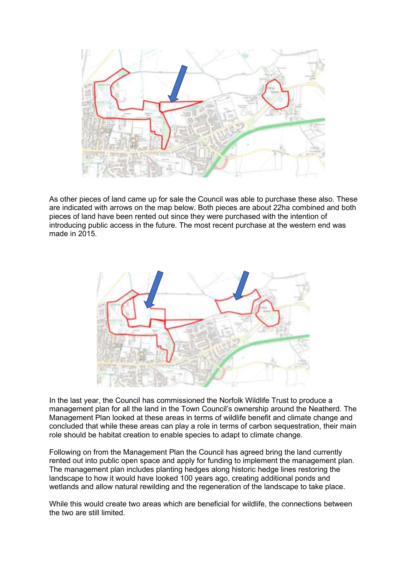

As other pieces of land came up for sale the Council was able to purchase these also. These are indicated with arrows on the map below. Both pieces are about 22ha combined and both pieces of land have been rented out since they were purchased with the intention of introducing public access in the future. The most recent purchase at the western end was made in 2015.



In the last year, the Council has commissioned the Norfolk Wildlife Trust to produce a management plan for all the land in the Town Council's ownership around the Neatherd. The Management Plan looked at these areas in terms of wildlife benefit and climate change and concluded that while these areas can play a role in terms of carbon sequestration, their main role should be habitat creation to enable species to adapt to climate change.

Following on from the Management Plan the Council has agreed bring the land currently rented out into public open space and apply for funding to implement the management plan. The management plan includes planting hedges along historic hedge lines restoring the landscape to how it would have looked 100 years ago, creating additional ponds and wetlands and allow natural rewilding and the regeneration of the landscape to take place.

While this would create two areas which are beneficial for wildlife, the connections between the two are still limited.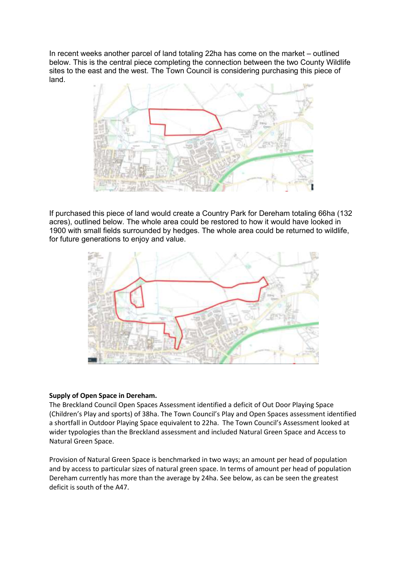In recent weeks another parcel of land totaling 22ha has come on the market – outlined below. This is the central piece completing the connection between the two County Wildlife sites to the east and the west. The Town Council is considering purchasing this piece of land.



If purchased this piece of land would create a Country Park for Dereham totaling 66ha (132 acres), outlined below. The whole area could be restored to how it would have looked in 1900 with small fields surrounded by hedges. The whole area could be returned to wildlife, for future generations to enjoy and value.



## **Supply of Open Space in Dereham.**

The Breckland Council Open Spaces Assessment identified a deficit of Out Door Playing Space (Children's Play and sports) of 38ha. The Town Council's Play and Open Spaces assessment identified a shortfall in Outdoor Playing Space equivalent to 22ha. The Town Council's Assessment looked at wider typologies than the Breckland assessment and included Natural Green Space and Access to Natural Green Space.

Provision of Natural Green Space is benchmarked in two ways; an amount per head of population and by access to particular sizes of natural green space. In terms of amount per head of population Dereham currently has more than the average by 24ha. See below, as can be seen the greatest deficit is south of the A47.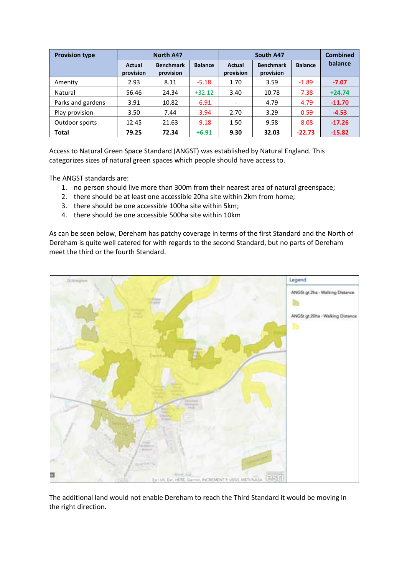| <b>Provision type</b> | <b>North A47</b>    |                               |                | South A47           |                               |                | <b>Combined</b> |
|-----------------------|---------------------|-------------------------------|----------------|---------------------|-------------------------------|----------------|-----------------|
|                       | Actual<br>provision | <b>Benchmark</b><br>provision | <b>Balance</b> | Actual<br>provision | <b>Benchmark</b><br>provision | <b>Balance</b> | balance         |
| Amenity               | 2.93                | 8.11                          | $-5.18$        | 1.70                | 3.59                          | $-1.89$        | $-7.07$         |
| Natural               | 56.46               | 24.34                         | $+32.12$       | 3.40                | 10.78                         | $-7.38$        | $+24.74$        |
| Parks and gardens     | 3.91                | 10.82                         | $-6.91$        |                     | 4.79                          | $-4.79$        | $-11.70$        |
| Play provision        | 3.50                | 7.44                          | $-3.94$        | 2.70                | 3.29                          | $-0.59$        | $-4.53$         |
| Outdoor sports        | 12.45               | 21.63                         | $-9.18$        | 1.50                | 9.58                          | $-8.08$        | $-17.26$        |
| <b>Total</b>          | 79.25               | 72.34                         | $+6.91$        | 9.30                | 32.03                         | $-22.73$       | $-15.82$        |

Access to Natural Green Space Standard (ANGST) was established by Natural England. This categorizes sizes of natural green spaces which people should have access to.

The ANGST standards are:

- 1. no person should live more than 300m from their nearest area of natural greenspace;
- 2. there should be at least one accessible 20ha site within 2km from home;
- 3. there should be one accessible 100ha site within 5km;
- 4. there should be one accessible 500ha site within 10km

As can be seen below, Dereham has patchy coverage in terms of the first Standard and the North of Dereham is quite well catered for with regards to the second Standard, but no parts of Dereham meet the third or the fourth Standard.



The additional land would not enable Dereham to reach the Third Standard it would be moving in the right direction.